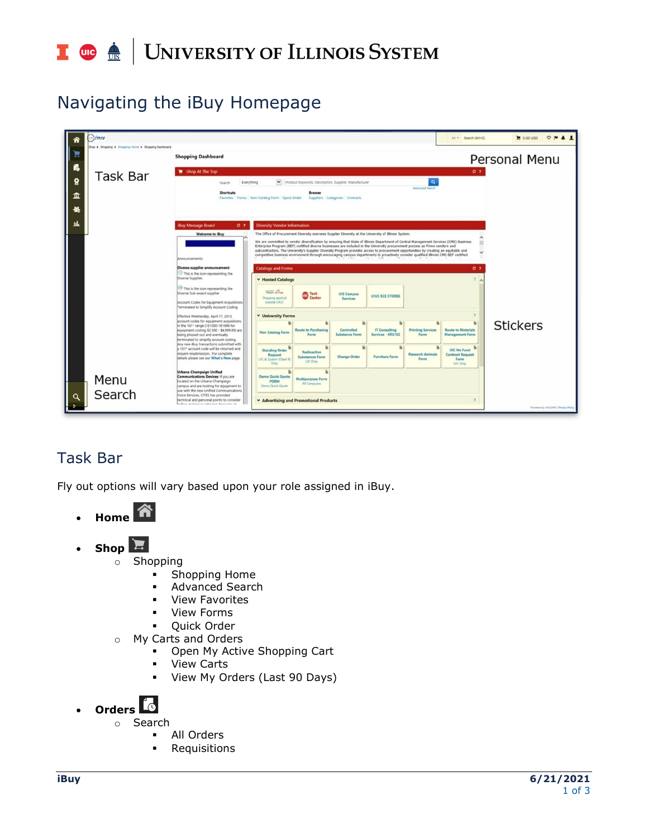# I **C**  $\triangleq$  UNIVERSITY OF ILLINOIS SYSTEM

# Navigating the iBuy Homepage



## Task Bar

Fly out options will vary based upon your role assigned in iBuy.

- **Home**
- $\cdot$  Shop  $\blacksquare$ 
	- o Shopping
		- **•** Shopping Home
		- **Advanced Search**
		- **•** View Favorites
		- View Forms
		- Quick Order
	- o My Carts and Orders
		- Open My Active Shopping Cart
		- View Carts
		- View My Orders (Last 90 Days)
- **Orders**
	- o Search
		- All Orders
			- Requisitions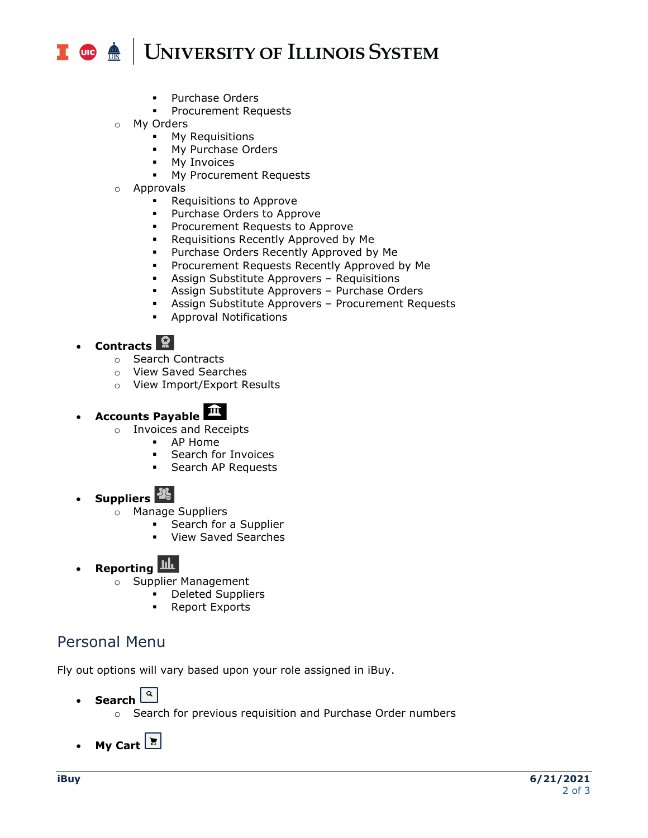#### **UNIVERSITY OF ILLINOIS SYSTEM** T one

- Purchase Orders
- Procurement Requests
- o My Orders
	- My Requisitions
	- My Purchase Orders
	- My Invoices
	- My Procurement Requests
- o Approvals<br>Rec
	- **Requisitions to Approve**<br>**Purchase Orders to App**
	- Purchase Orders to Approve
	- **•** Procurement Requests to Approve
	- **Requisitions Recently Approved by Me**
	- **Purchase Orders Recently Approved by Me**
	- **Procurement Requests Recently Approved by Me**
	- Assign Substitute Approvers Requisitions
	- Assign Substitute Approvers Purchase Orders
	- Assign Substitute Approvers Procurement Requests
	- **Approval Notifications**

### • **Contracts**

- o Search Contracts
- o View Saved Searches
- o View Import/Export Results

# • **Accounts Payable**

- o Invoices and Receipts
	- AP Home
	- Search for Invoices
	- **Search AP Requests**

• **Suppliers**

- o Manage Suppliers
	- Search for a Supplier
	- View Saved Searches

#### • **Reporting**

- o Supplier Management
	- Deleted Suppliers
	- Report Exports

### Personal Menu

Fly out options will vary based upon your role assigned in iBuy.

- **Search**
	- o Search for previous requisition and Purchase Order numbers
- **My Cart**